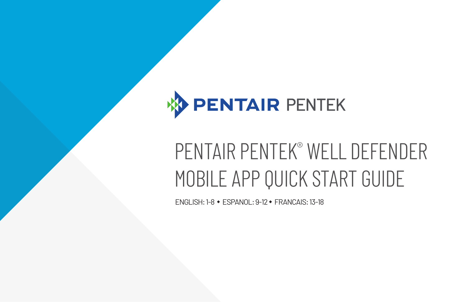

# PENTAIR PENTEK® WELL DEFENDER MOBILE APP QUICK START GUIDE

ENGLISH: 1-8 ESPANOL: 9-12 FRANCAIS: 13-18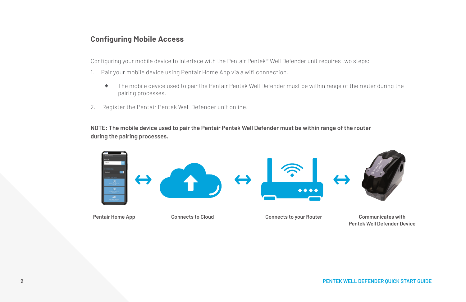### **Configuring Mobile Access**

Configuring your mobile device to interface with the Pentair Pentek® Well Defender unit requires two steps:

- 1. Pair your mobile device using Pentair Home App via a wifi connection.
	- The mobile device used to pair the Pentair Pentek Well Defender must be within range of the router during the pairing processes.
- 2. Register the Pentair Pentek Well Defender unit online.

**NOTE: The mobile device used to pair the Pentair Pentek Well Defender must be within range of the router during the pairing processes.**

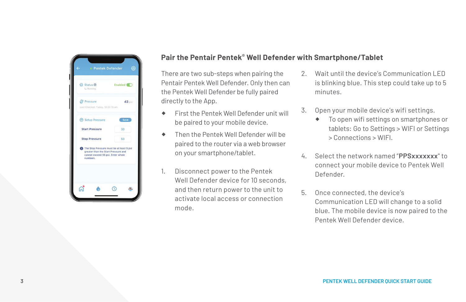

### **Pair the Pentair Pentek® Well Defender with Smartphone/Tablet**

There are two sub-steps when pairing the Pentair Pentek Well Defender. Only then can the Pentek Well Defender be fully paired directly to the App.

- First the Pentek Well Defender unit will be paired to your mobile device.
- Then the Pentek Well Defender will be paired to the router via a web browser on your smartphone/tablet.
- 1. Disconnect power to the Pentek Well Defender device for 10 seconds. and then return power to the unit to activate local access or connection mode.
- 2. Wait until the device's Communication LED is blinking blue. This step could take up to 5 minutes.
- 3. Open your mobile device's wifi settings.
	- To open wifi settings on smartphones or tablets: Go to Settings > WIFI or Settings > Connections > WIFI.
- 4. Select the network named "**PPSxxxxxxx**" to connect your mobile device to Pentek Well Defender.
- 5. Once connected, the device's Communication LED will change to a solid blue. The mobile device is now paired to the Pentek Well Defender device.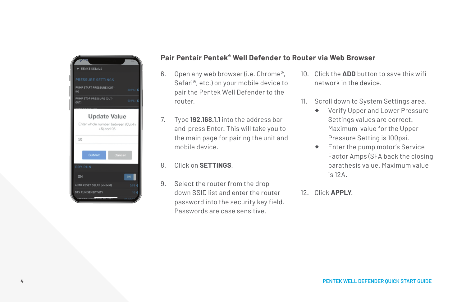

## **Pair Pentair Pentek® Well Defender to Router via Web Browser**

- 6. Open any web browser (i.e. Chrome®, Safari®, etc.) on your mobile device to pair the Pentek Well Defender to the router.
- 7. Type **192.168.1.1** into the address bar and press Enter. This will take you to the main page for pairing the unit and mobile device.

#### 8. Click on **SETTINGS**.

9. Select the router from the drop down SSID list and enter the router password into the security key field. Passwords are case sensitive.

- 10. Click the **ADD** button to save this wifi network in the device.
- 11. Scroll down to System Settings area.
	- Verify Upper and Lower Pressure Settings values are correct. Maximum value for the Upper Pressure Setting is 100psi.
	- Enter the pump motor's Service Factor Amps (SFA back the closing parathesis value. Maximum value is 12A.
- 12. Click **APPLY**.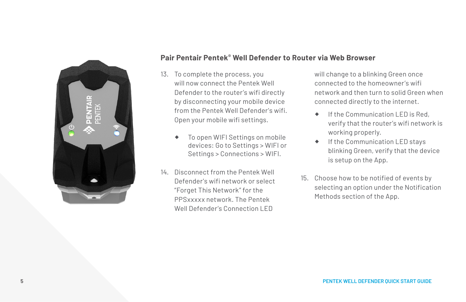

### **Pair Pentair Pentek® Well Defender to Router via Web Browser**

- 13. To complete the process, you will now connect the Pentek Well Defender to the router's wifi directly by disconnecting your mobile device from the Pentek Well Defender's wifi. Open your mobile wifi settings.
	- To open WIFI Settings on mobile devices: Go to Settings > WIFI or Settings > Connections > WIFI.
- 14. Disconnect from the Pentek Well Defender's wifi network or select "Forget This Network" for the PPSxxxxx network. The Pentek Well Defender's Connection LED

will change to a blinking Green once connected to the homeowner's wifi network and then turn to solid Green when connected directly to the internet.

- If the Communication LED is Red, verify that the router's wifi network is working properly.
- If the Communication LED stays blinking Green, verify that the device is setup on the App.
- 15. Choose how to be notified of events by selecting an option under the Notification Methods section of the App.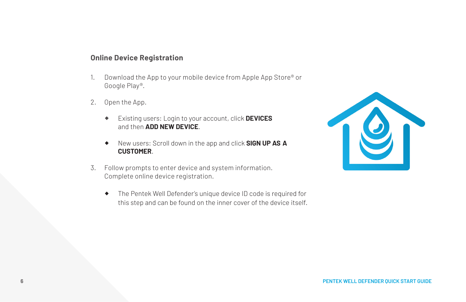#### **Online Device Registration**

- 1. Download the App to your mobile device from Apple App Store® or Google Play®.
- 2. Open the App.
	- Existing users: Login to your account, click **DEVICES** and then **ADD NEW DEVICE**.
	- New users: Scroll down in the app and click **SIGN UP AS A CUSTOMER**.
- 3. Follow prompts to enter device and system information. Complete online device registration.
	- The Pentek Well Defender's unique device ID code is required for this step and can be found on the inner cover of the device itself.

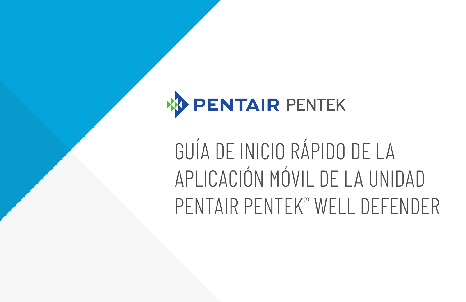## **BENTAIR PENTEK**

GUÍA DE INICIO RÁPIDO DE LA APLICACIÓN MÓVIL DE LA UNIDAD PENTAIR PENTEK® WELL DEFENDER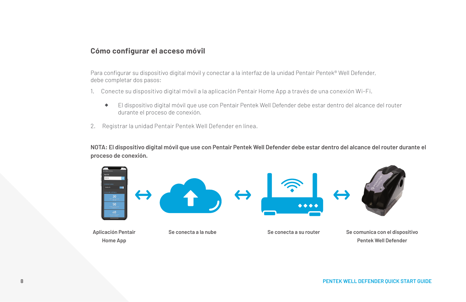#### **Cómo configurar el acceso móvil**

Para configurar su dispositivo digital móvil y conectar a la interfaz de la unidad Pentair Pentek® Well Defender, debe completar dos pasos:

- 1. Conecte su dispositivo digital móvil a la aplicación Pentair Home App a través de una conexión Wi-Fi.
	- El dispositivo digital móvil que use con Pentair Pentek Well Defender debe estar dentro del alcance del router durante el proceso de conexión.
- 2. Registrar la unidad Pentair Pentek Well Defender en línea.

**NOTA: El dispositivo digital móvil que use con Pentair Pentek Well Defender debe estar dentro del alcance del router durante el proceso de conexión.**

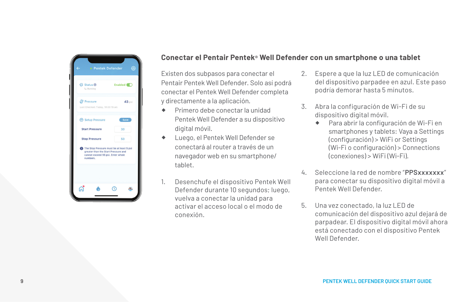

#### **Conectar el Pentair Pentek® Well Defender con un smartphone o una tablet**

Existen dos subpasos para conectar el Pentair Pentek Well Defender. Solo así podrá conectar el Pentek Well Defender completa y directamente a la aplicación.

- Primero debe conectar la unidad Pentek Well Defender a su dispositivo digital móvil.
- Luego, el Pentek Well Defender se conectará al router a través de un navegador web en su smartphone/ tablet.
- 1. Desenchufe el dispositivo Pentek Well Defender durante 10 segundos; luego, vuelva a conectar la unidad para activar el acceso local o el modo de conexión.
- 2. Espere a que la luz LED de comunicación del dispositivo parpadee en azul. Este paso podría demorar hasta 5 minutos.
- 3. Abra la configuración de Wi-Fi de su dispositivo digital móvil.
	- Para abrir la configuración de Wi-Fi en smartphones y tablets: Vaya a Settings (configuración) > WiFi or Settings (Wi-Fi o configuración) > Connections (conexiones) > WiFi (Wi-Fi).
- 4. Seleccione la red de nombre "**PPSxxxxxxx**" para conectar su dispositivo digital móvil a Pentek Well Defender.
- 5. Una vez conectado, la luz LED de comunicación del dispositivo azul dejará de parpadear. El dispositivo digital móvil ahora está conectado con el dispositivo Pentek Well Defender.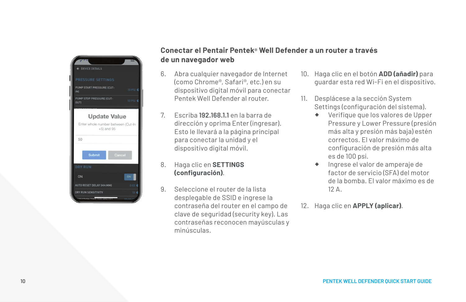

## **Conectar el Pentair Pentek® Well Defender a un router a través de un navegador web**

- 6. Abra cualquier navegador de Internet (como Chrome®, Safari®, etc.) en su dispositivo digital móvil para conectar Pentek Well Defender al router.
- 7. Escriba **192.168.1.1** en la barra de dirección y oprima Enter (ingresar). Esto le llevará a la página principal para conectar la unidad y el dispositivo digital móvil.

#### 8. Haga clic en **SETTINGS (configuración)**.

9. Seleccione el router de la lista desplegable de SSID e ingrese la contraseña del router en el campo de clave de seguridad (security key). Las contraseñas reconocen mayúsculas y minúsculas.

- 10. Haga clic en el botón **ADD (añadir)** para guardar esta red Wi-Fi en el dispositivo.
- 11. Desplácese a la sección System Settings (configuración del sistema).
	- Verifique que los valores de Upper Pressure y Lower Pressure (presión más alta y presión más baja) estén correctos. El valor máximo de configuración de presión más alta es de 100 psi.
	- Ingrese el valor de amperaje de factor de servicio (SFA) del motor de la bomba. El valor máximo es de 12 A.
- 12. Haga clic en **APPLY (aplicar)**.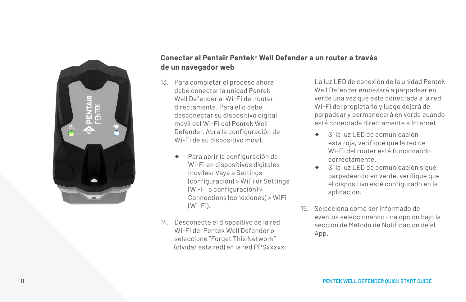

### **Conectar el Pentair Pentek ® Well Defender a un router a través de un navegador web**

- 13. Para completar el proceso ahora debe conectar la unidad Pentek Well Defender al Wi-Fi del router directamente. Para ello debe desconectar su dispositivo digital móvil del Wi-Fi del Pentek Well Defender. Abra la configuración de Wi-Fi de su dispositivo móvil.
	- Para abrir la configuración de Wi-Fi en dispositivos digitales móviles: Vaya a Settings (configuración) > WiFi or Settings (Wi-Fi o configuración) > Connections (conexiones) > WiFi (Wi-Fi).
- 14. Desconecte el dispositivo de la red Wi-Fi del Pentek Well Defender o seleccione "Forget This Network" (olvidar esta red) en la red PPSxxxxx.

La luz LED de conexión de la unidad Pentek Well Defender empezará a parpadear en verde una vez que esté conectada a la red Wi-Fi del propietario y luego dejará de parpadear y permanecerá en verde cuando esté conectada directamente a Internet.

- Si la luz LED de comunicación está roja, verifique que la red de Wi-Fi del router esté funcionando correctamente.
- Si la luz LED de comunicación sigue parpadeando en verde, verifique que el dispositivo esté configurado en la aplicación.
- 15. Selecciona como ser informado de eventos seleccionando una opción bajo la sección de Método de Notificación de el App.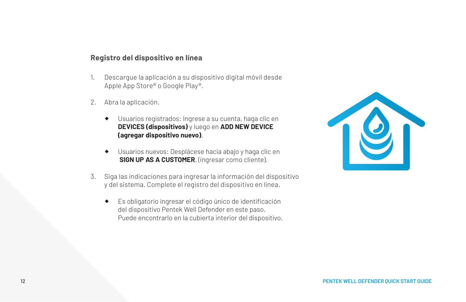#### **Registro del dispositivo en línea**

- 1. Descargue la aplicación a su dispositivo digital móvil desde Apple App Store® o Google Play®.
- 2. Abra la aplicación.
	- Usuarios registrados: Ingrese a su cuenta, haga clic en **DEVICES (dispositivos)** y luego en **ADD NEW DEVICE (agregar dispositivo nuevo)**.
	- Usuarios nuevos: Desplácese hacia abajo y haga clic en **SIGN UP AS A CUSTOMER**. (ingresar como cliente).
- 3. Siga las indicaciones para ingresar la información del dispositivo y del sistema. Complete el registro del dispositivo en línea.
	- Es obligatorio ingresar el código único de identificación del dispositivo Pentek Well Defender en este paso. Puede encontrarlo en la cubierta interior del dispositivo.

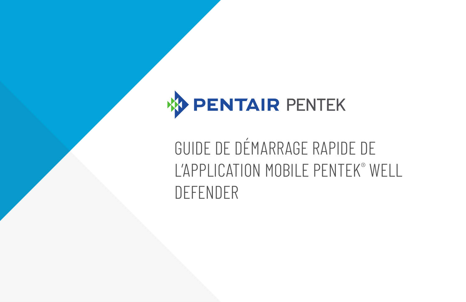## **DENTAIR PENTEK**

GUIDE DE DÉMARRAGE RAPIDE DE L'APPLICATION MOBILE PENTEK<sup>®</sup> WELL DEFENDER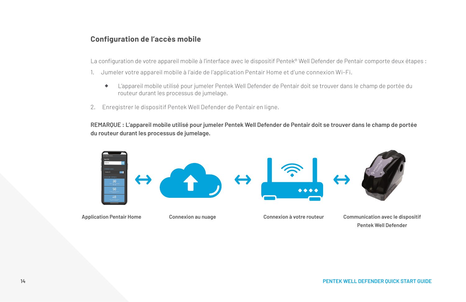### **Configuration de l'accès mobile**

La configuration de votre appareil mobile à l'interface avec le dispositif Pentek® Well Defender de Pentair comporte deux étapes :

- 1. Jumeler votre appareil mobile à l'aide de l'application Pentair Home et d'une connexion Wi-Fi.
	- L'appareil mobile utilisé pour jumeler Pentek Well Defender de Pentair doit se trouver dans le champ de portée du routeur durant les processus de jumelage.
- 2. Enregistrer le dispositif Pentek Well Defender de Pentair en ligne.

**REMARQUE : L'appareil mobile utilisé pour jumeler Pentek Well Defender de Pentair doit se trouver dans le champ de portée du routeur durant les processus de jumelage.**

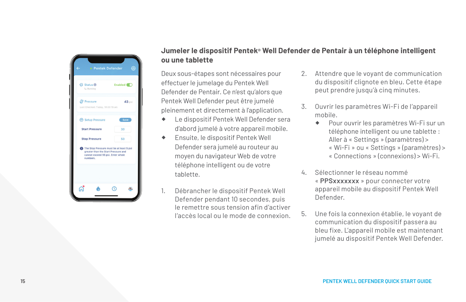

## **Jumeler le dispositif Pentek ® Well Defender de Pentair à un téléphone intelligent ou une tablette**

Deux sous-étapes sont nécessaires pour effectuer le jumelage du Pentek Well Defender de Pentair. Ce n'est qu'alors que Pentek Well Defender peut être jumelé pleinement et directement à l'application.

- Le dispositif Pentek Well Defender sera d'abord jumelé à votre appareil mobile.
- Ensuite, le dispositif Pentek Well Defender sera jumelé au routeur au moyen du navigateur Web de votre téléphone intelligent ou de votre tablette.
- 1. Débrancher le dispositif Pentek Well Defender pendant 10 secondes, puis le remettre sous tension afin d'activer l'accès local ou le mode de connexion.
- 2. Attendre que le voyant de communication du dispositif clignote en bleu. Cette étape peut prendre jusqu'à cinq minutes.
- 3. Ouvrir les paramètres Wi-Fi de l'appareil mobile.
	- Pour ouvrir les paramètres Wi-Fi sur un téléphone intelligent ou une tablette : Aller à « Settings » (paramètres) > « Wi-Fi » ou « Settings » (paramètres) > « Connections » (connexions) > Wi-Fi.
- 4. Sélectionner le réseau nommé « **PPSxxxxxxx** » pour connecter votre appareil mobile au dispositif Pentek Well Defender.
- 5. Une fois la connexion établie, le voyant de communication du dispositif passera au bleu fixe. L'appareil mobile est maintenant jumelé au dispositif Pentek Well Defender.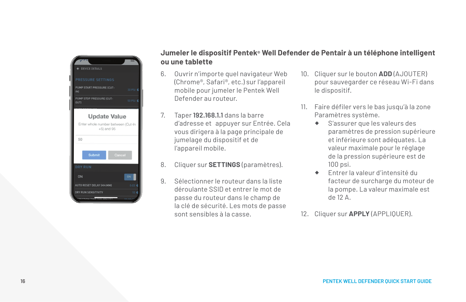

## **Jumeler le dispositif Pentek® Well Defender de Pentair à un téléphone intelligent ou une tablette**

- 6. Ouvrir n'importe quel navigateur Web (Chrome®, Safari®, etc.) sur l'appareil mobile pour jumeler le Pentek Well Defender au routeur.
- 7. Taper **192.168.1.1** dans la barre d'adresse et appuyer sur Entrée. Cela vous dirigera à la page principale de jumelage du dispositif et de l'appareil mobile.
- 8. Cliquer sur **SETTINGS** (paramètres).
- 9. Sélectionner le routeur dans la liste déroulante SSID et entrer le mot de passe du routeur dans le champ de la clé de sécurité. Les mots de passe sont sensibles à la casse.
- 10. Cliquer sur le bouton **ADD** (AJOUTER) pour sauvegarder ce réseau Wi-Fi dans le dispositif.
- 11. Faire défiler vers le bas jusqu'à la zone Paramètres système.
	- S'assurer que les valeurs des paramètres de pression supérieure et inférieure sont adéquates. La valeur maximale pour le réglage de la pression supérieure est de 100 psi.
	- Entrer la valeur d'intensité du facteur de surcharge du moteur de la pompe. La valeur maximale est de 12 A.
- 12. Cliquer sur **APPLY** (APPLIQUER).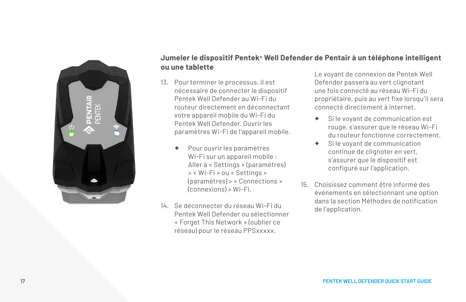

## **Jumeler le dispositif Pentek ® Well Defender de Pentair à un téléphone intelligent ou une tablette**

- 13. Pour terminer le processus, il est nécessaire de connecter le dispositif Pentek Well Defender au Wi-Fi du routeur directement en déconnectant votre appareil mobile du Wi-Fi du Pentek Well Defender. Ouvrir les paramètres Wi-Fi de l'appareil mobile.
	- Pour ouvrir les paramètres Wi-Fi sur un appareil mobile : Aller à « Settings » (paramètres) > « Wi-Fi » ou « Settings » (paramètres) > « Connections » (connexions) > Wi-Fi.
- 14. Se déconnecter du réseau Wi-Fi du Pentek Well Defender ou sélectionner « Forget This Network » (oublier ce réseau) pour le réseau PPSxxxxx.

Le voyant de connexion de Pentek Well Defender passera au vert clignotant une fois connecté au réseau Wi-Fi du propriétaire, puis au vert fixe lorsqu'il sera connecté directement à Internet.

- Si le voyant de communication est rouge, s'assurer que le réseau Wi-Fi du routeur fonctionne correctement.
- Si le voyant de communication continue de clignoter en vert, s'assurer que le dispositif est configuré sur l'application.
- 15. Choisissez comment être informé des événements en sélectionnant une option dans la section Méthodes de notification de l'application.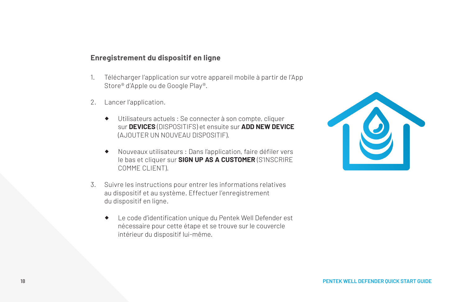#### **Enregistrement du dispositif en ligne**

- 1. Télécharger l'application sur votre appareil mobile à partir de l'App Store® d'Apple ou de Google Play®.
- 2. Lancer l'application.
	- Utilisateurs actuels : Se connecter à son compte, cliquer sur **DEVICES** (DISPOSITIFS) et ensuite sur **ADD NEW DEVICE** (AJOUTER UN NOUVEAU DISPOSITIF).
	- Nouveaux utilisateurs : Dans l'application, faire défiler vers le bas et cliquer sur **SIGN UP AS A CUSTOMER** (S'INSCRIRE COMME CLIENT).
- 3. Suivre les instructions pour entrer les informations relatives au dispositif et au système. Effectuer l'enregistrement du dispositif en ligne.
	- Le code d'identification unique du Pentek Well Defender est nécessaire pour cette étape et se trouve sur le couvercle intérieur du dispositif lui-même.